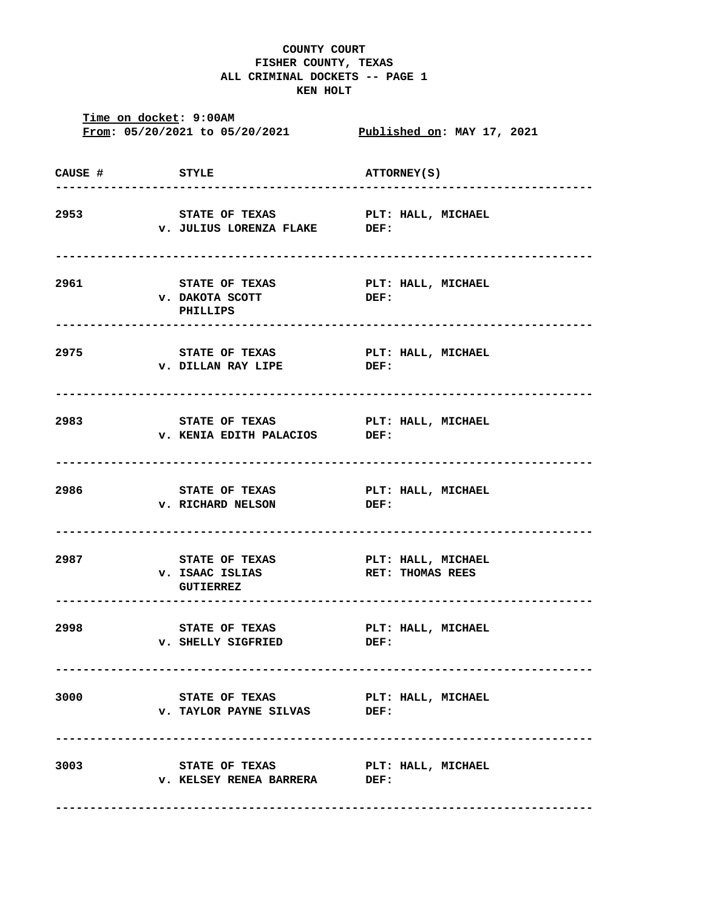## **COUNTY COURT FISHER COUNTY, TEXAS ALL CRIMINAL DOCKETS -- PAGE 1 KEN HOLT**

**Time on docket: 9:00AM From: 05/20/2021 to 05/20/2021 Published on: MAY 17, 2021 CAUSE # STYLE ATTORNEY(S) ------------------------------------------------------------------------------ 2953 STATE OF TEXAS PLT: HALL, MICHAEL v. JULIUS LORENZA FLAKE DEF: ------------------------------------------------------------------------------ 2961 STATE OF TEXAS PLT: HALL, MICHAEL v. DAKOTA SCOTT DEF: PHILLIPS ------------------------------------------------------------------------------ 2975 STATE OF TEXAS PLT: HALL, MICHAEL v. DILLAN RAY LIPE DEF: ------------------------------------------------------------------------------ 2983 STATE OF TEXAS PLT: HALL, MICHAEL v. KENIA EDITH PALACIOS DEF: ------------------------------------------------------------------------------ 2986 STATE OF TEXAS PLT: HALL, MICHAEL v. RICHARD NELSON DEF: ------------------------------------------------------------------------------ 2987 STATE OF TEXAS PLT: HALL, MICHAEL v. ISAAC ISLIAS RET: THOMAS REES GUTIERREZ ------------------------------------------------------------------------------ 2998 STATE OF TEXAS PLT: HALL, MICHAEL v. SHELLY SIGFRIED DEF: ------------------------------------------------------------------------------ 3000 STATE OF TEXAS PLT: HALL, MICHAEL v. TAYLOR PAYNE SILVAS DEF: ------------------------------------------------------------------------------ 3003 STATE OF TEXAS PLT: HALL, MICHAEL v. KELSEY RENEA BARRERA DEF: ------------------------------------------------------------------------------**